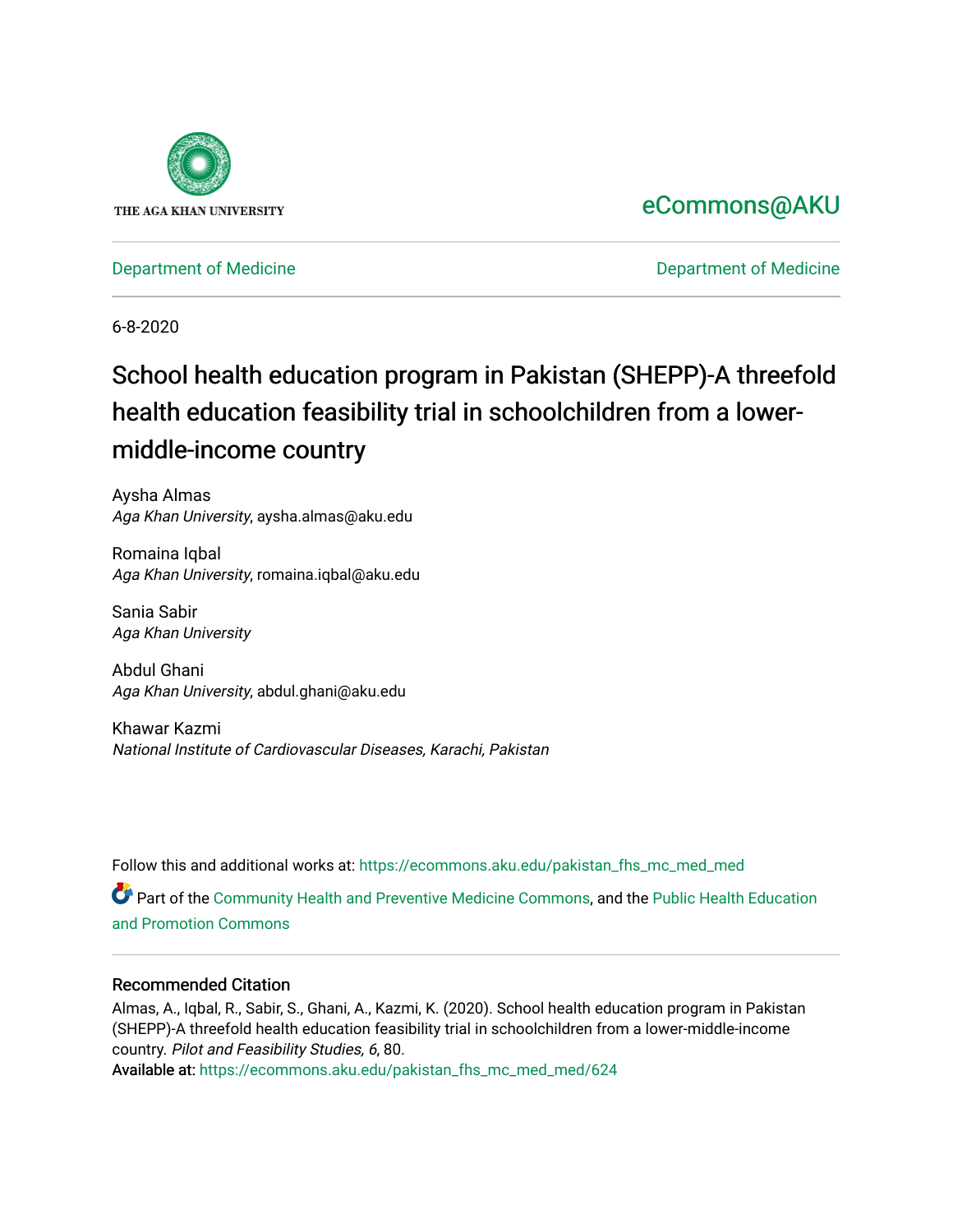

## [eCommons@AKU](https://ecommons.aku.edu/)

[Department of Medicine](https://ecommons.aku.edu/pakistan_fhs_mc_med) **Department of Medicine** 

6-8-2020

# School health education program in Pakistan (SHEPP)-A threefold health education feasibility trial in schoolchildren from a lowermiddle-income country

Aysha Almas Aga Khan University, aysha.almas@aku.edu

Romaina Iqbal Aga Khan University, romaina.iqbal@aku.edu

Sania Sabir Aga Khan University

Abdul Ghani Aga Khan University, abdul.ghani@aku.edu

Khawar Kazmi National Institute of Cardiovascular Diseases, Karachi, Pakistan

Follow this and additional works at: [https://ecommons.aku.edu/pakistan\\_fhs\\_mc\\_med\\_med](https://ecommons.aku.edu/pakistan_fhs_mc_med_med?utm_source=ecommons.aku.edu%2Fpakistan_fhs_mc_med_med%2F624&utm_medium=PDF&utm_campaign=PDFCoverPages) 

Part of the [Community Health and Preventive Medicine Commons](http://network.bepress.com/hgg/discipline/744?utm_source=ecommons.aku.edu%2Fpakistan_fhs_mc_med_med%2F624&utm_medium=PDF&utm_campaign=PDFCoverPages), and the [Public Health Education](http://network.bepress.com/hgg/discipline/743?utm_source=ecommons.aku.edu%2Fpakistan_fhs_mc_med_med%2F624&utm_medium=PDF&utm_campaign=PDFCoverPages) [and Promotion Commons](http://network.bepress.com/hgg/discipline/743?utm_source=ecommons.aku.edu%2Fpakistan_fhs_mc_med_med%2F624&utm_medium=PDF&utm_campaign=PDFCoverPages)

## Recommended Citation

Almas, A., Iqbal, R., Sabir, S., Ghani, A., Kazmi, K. (2020). School health education program in Pakistan (SHEPP)-A threefold health education feasibility trial in schoolchildren from a lower-middle-income country. Pilot and Feasibility Studies, 6, 80.

Available at: [https://ecommons.aku.edu/pakistan\\_fhs\\_mc\\_med\\_med/624](https://ecommons.aku.edu/pakistan_fhs_mc_med_med/624)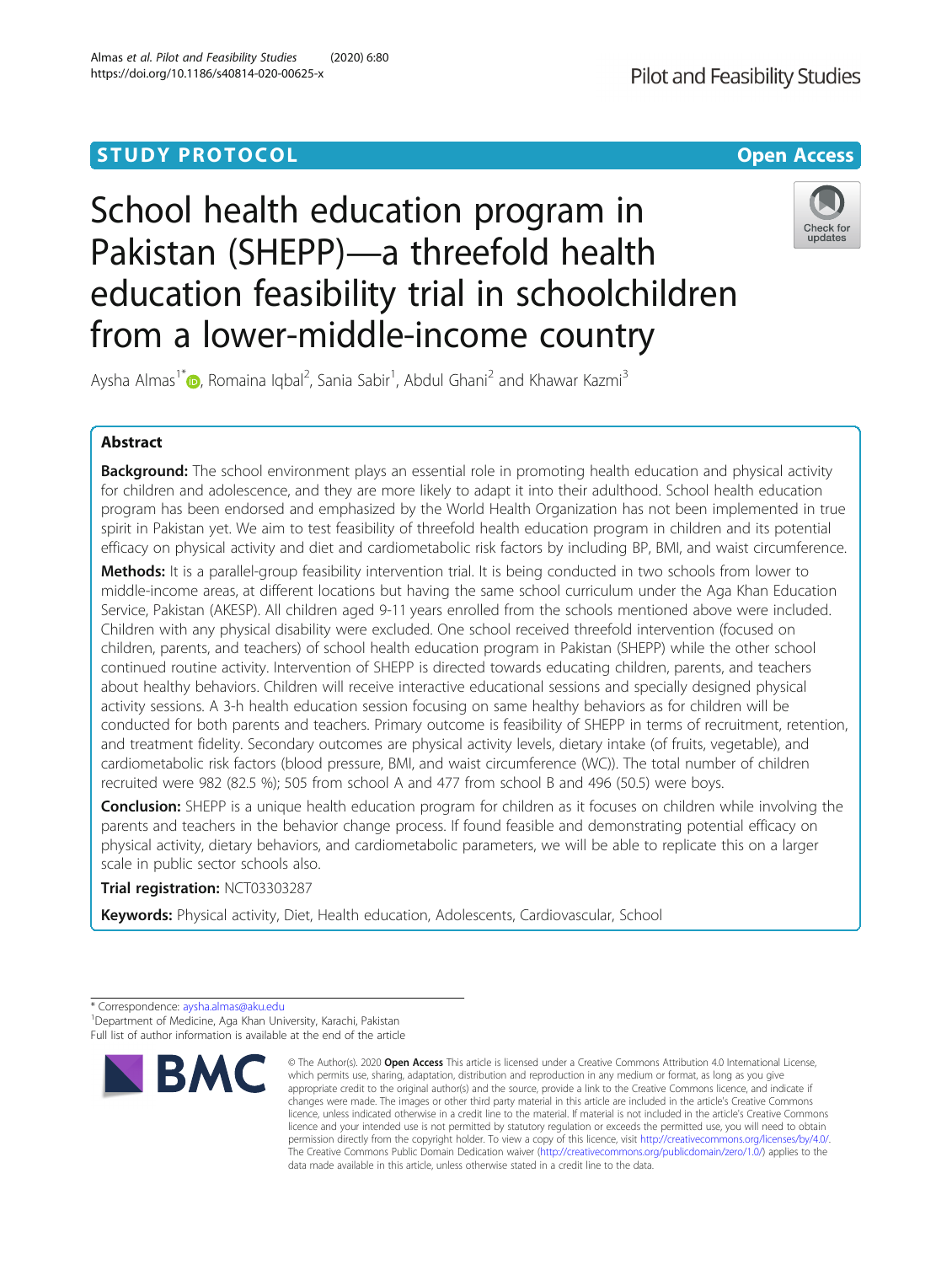## **STUDY PROTOCOL CONSUMING THE RESERVE ACCESS**

# School health education program in Pakistan (SHEPP)—a threefold health education feasibility trial in schoolchildren from a lower-middle-income country



Aysha Almas<sup>1\*</sup>�, Romaina Iqbal<sup>2</sup>, Sania Sabir<sup>1</sup>, Abdul Ghani<sup>2</sup> and Khawar Kazmi<sup>3</sup>

## Abstract

**Background:** The school environment plays an essential role in promoting health education and physical activity for children and adolescence, and they are more likely to adapt it into their adulthood. School health education program has been endorsed and emphasized by the World Health Organization has not been implemented in true spirit in Pakistan yet. We aim to test feasibility of threefold health education program in children and its potential efficacy on physical activity and diet and cardiometabolic risk factors by including BP, BMI, and waist circumference.

Methods: It is a parallel-group feasibility intervention trial. It is being conducted in two schools from lower to middle-income areas, at different locations but having the same school curriculum under the Aga Khan Education Service, Pakistan (AKESP). All children aged 9-11 years enrolled from the schools mentioned above were included. Children with any physical disability were excluded. One school received threefold intervention (focused on children, parents, and teachers) of school health education program in Pakistan (SHEPP) while the other school continued routine activity. Intervention of SHEPP is directed towards educating children, parents, and teachers about healthy behaviors. Children will receive interactive educational sessions and specially designed physical activity sessions. A 3-h health education session focusing on same healthy behaviors as for children will be conducted for both parents and teachers. Primary outcome is feasibility of SHEPP in terms of recruitment, retention, and treatment fidelity. Secondary outcomes are physical activity levels, dietary intake (of fruits, vegetable), and cardiometabolic risk factors (blood pressure, BMI, and waist circumference (WC)). The total number of children recruited were 982 (82.5 %); 505 from school A and 477 from school B and 496 (50.5) were boys.

**Conclusion:** SHEPP is a unique health education program for children as it focuses on children while involving the parents and teachers in the behavior change process. If found feasible and demonstrating potential efficacy on physical activity, dietary behaviors, and cardiometabolic parameters, we will be able to replicate this on a larger scale in public sector schools also.

Trial registration: NCT03303287

Keywords: Physical activity, Diet, Health education, Adolescents, Cardiovascular, School

<sup>\*</sup> Correspondence: [aysha.almas@aku.edu](mailto:aysha.almas@aku.edu) <sup>1</sup> <sup>1</sup> Department of Medicine, Aga Khan University, Karachi, Pakistan Full list of author information is available at the end of the article



<sup>©</sup> The Author(s), 2020 **Open Access** This article is licensed under a Creative Commons Attribution 4.0 International License, which permits use, sharing, adaptation, distribution and reproduction in any medium or format, as long as you give appropriate credit to the original author(s) and the source, provide a link to the Creative Commons licence, and indicate if changes were made. The images or other third party material in this article are included in the article's Creative Commons licence, unless indicated otherwise in a credit line to the material. If material is not included in the article's Creative Commons licence and your intended use is not permitted by statutory regulation or exceeds the permitted use, you will need to obtain permission directly from the copyright holder. To view a copy of this licence, visit [http://creativecommons.org/licenses/by/4.0/.](http://creativecommons.org/licenses/by/4.0/) The Creative Commons Public Domain Dedication waiver [\(http://creativecommons.org/publicdomain/zero/1.0/](http://creativecommons.org/publicdomain/zero/1.0/)) applies to the data made available in this article, unless otherwise stated in a credit line to the data.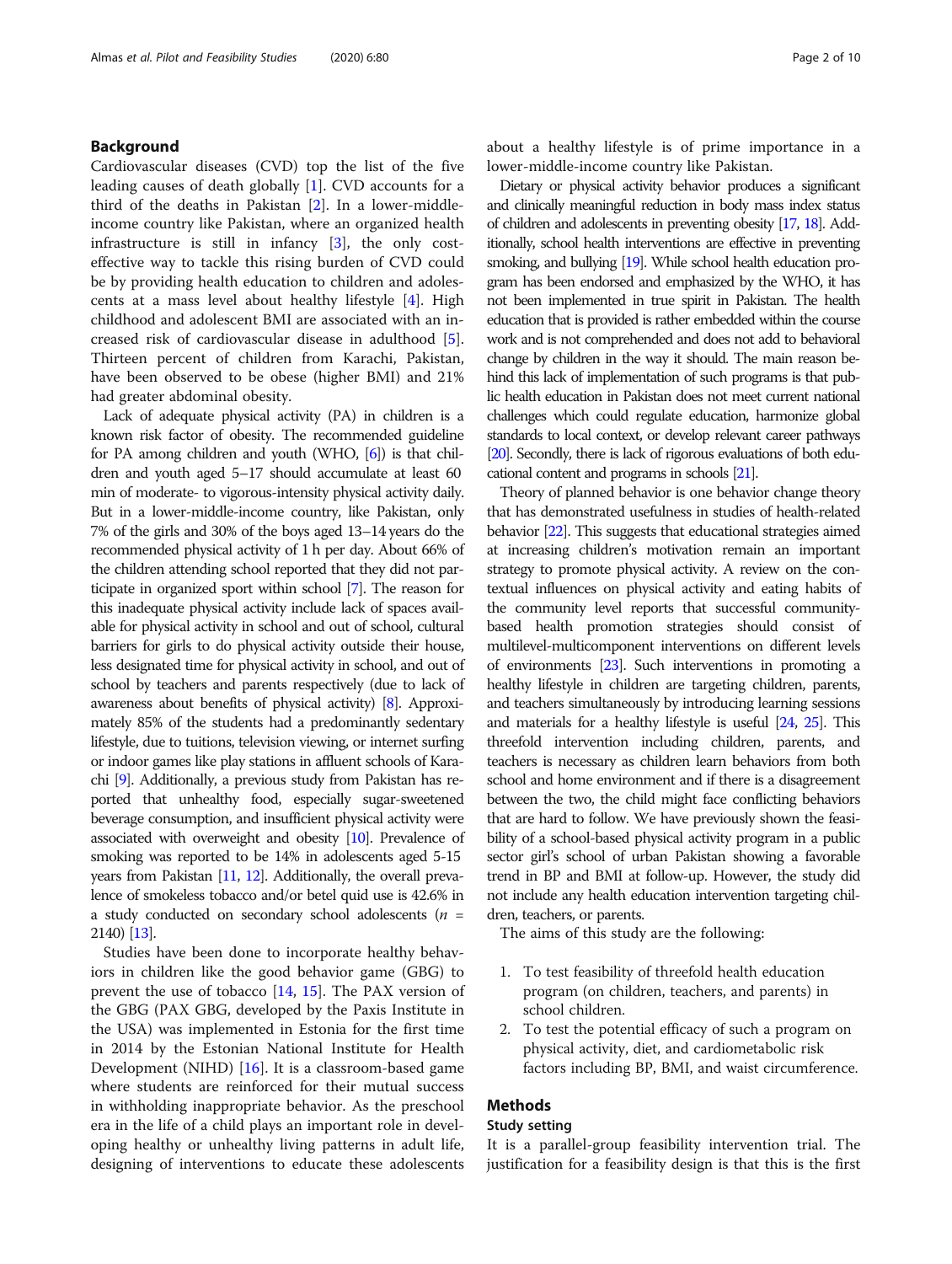#### Background

Cardiovascular diseases (CVD) top the list of the five leading causes of death globally [\[1\]](#page-9-0). CVD accounts for a third of the deaths in Pakistan [[2\]](#page-9-0). In a lower-middleincome country like Pakistan, where an organized health infrastructure is still in infancy [[3\]](#page-9-0), the only costeffective way to tackle this rising burden of CVD could be by providing health education to children and adolescents at a mass level about healthy lifestyle [\[4](#page-9-0)]. High childhood and adolescent BMI are associated with an increased risk of cardiovascular disease in adulthood [\[5](#page-9-0)]. Thirteen percent of children from Karachi, Pakistan, have been observed to be obese (higher BMI) and 21% had greater abdominal obesity.

Lack of adequate physical activity (PA) in children is a known risk factor of obesity. The recommended guideline for PA among children and youth (WHO, [\[6\]](#page-9-0)) is that children and youth aged 5–17 should accumulate at least 60 min of moderate- to vigorous-intensity physical activity daily. But in a lower-middle-income country, like Pakistan, only 7% of the girls and 30% of the boys aged 13–14 years do the recommended physical activity of 1 h per day. About 66% of the children attending school reported that they did not participate in organized sport within school [[7](#page-9-0)]. The reason for this inadequate physical activity include lack of spaces available for physical activity in school and out of school, cultural barriers for girls to do physical activity outside their house, less designated time for physical activity in school, and out of school by teachers and parents respectively (due to lack of awareness about benefits of physical activity) [\[8\]](#page-9-0). Approximately 85% of the students had a predominantly sedentary lifestyle, due to tuitions, television viewing, or internet surfing or indoor games like play stations in affluent schools of Karachi [\[9](#page-9-0)]. Additionally, a previous study from Pakistan has reported that unhealthy food, especially sugar-sweetened beverage consumption, and insufficient physical activity were associated with overweight and obesity [\[10](#page-9-0)]. Prevalence of smoking was reported to be 14% in adolescents aged 5-15 years from Pakistan [\[11](#page-9-0), [12\]](#page-9-0). Additionally, the overall prevalence of smokeless tobacco and/or betel quid use is 42.6% in a study conducted on secondary school adolescents ( $n =$ 2140) [[13\]](#page-9-0).

Studies have been done to incorporate healthy behaviors in children like the good behavior game (GBG) to prevent the use of tobacco [[14](#page-9-0), [15\]](#page-9-0). The PAX version of the GBG (PAX GBG, developed by the Paxis Institute in the USA) was implemented in Estonia for the first time in 2014 by the Estonian National Institute for Health Development (NIHD) [[16\]](#page-9-0). It is a classroom-based game where students are reinforced for their mutual success in withholding inappropriate behavior. As the preschool era in the life of a child plays an important role in developing healthy or unhealthy living patterns in adult life, designing of interventions to educate these adolescents

about a healthy lifestyle is of prime importance in a lower-middle-income country like Pakistan.

Dietary or physical activity behavior produces a significant and clinically meaningful reduction in body mass index status of children and adolescents in preventing obesity [\[17,](#page-9-0) [18\]](#page-9-0). Additionally, school health interventions are effective in preventing smoking, and bullying [\[19](#page-9-0)]. While school health education program has been endorsed and emphasized by the WHO, it has not been implemented in true spirit in Pakistan. The health education that is provided is rather embedded within the course work and is not comprehended and does not add to behavioral change by children in the way it should. The main reason behind this lack of implementation of such programs is that public health education in Pakistan does not meet current national challenges which could regulate education, harmonize global standards to local context, or develop relevant career pathways [\[20](#page-9-0)]. Secondly, there is lack of rigorous evaluations of both educational content and programs in schools [\[21\]](#page-9-0).

Theory of planned behavior is one behavior change theory that has demonstrated usefulness in studies of health-related behavior [\[22](#page-9-0)]. This suggests that educational strategies aimed at increasing children's motivation remain an important strategy to promote physical activity. A review on the contextual influences on physical activity and eating habits of the community level reports that successful communitybased health promotion strategies should consist of multilevel-multicomponent interventions on different levels of environments [\[23](#page-9-0)]. Such interventions in promoting a healthy lifestyle in children are targeting children, parents, and teachers simultaneously by introducing learning sessions and materials for a healthy lifestyle is useful [\[24](#page-9-0), [25](#page-9-0)]. This threefold intervention including children, parents, and teachers is necessary as children learn behaviors from both school and home environment and if there is a disagreement between the two, the child might face conflicting behaviors that are hard to follow. We have previously shown the feasibility of a school-based physical activity program in a public sector girl's school of urban Pakistan showing a favorable trend in BP and BMI at follow-up. However, the study did not include any health education intervention targeting children, teachers, or parents.

The aims of this study are the following:

- 1. To test feasibility of threefold health education program (on children, teachers, and parents) in school children.
- 2. To test the potential efficacy of such a program on physical activity, diet, and cardiometabolic risk factors including BP, BMI, and waist circumference.

#### Methods

#### Study setting

It is a parallel-group feasibility intervention trial. The justification for a feasibility design is that this is the first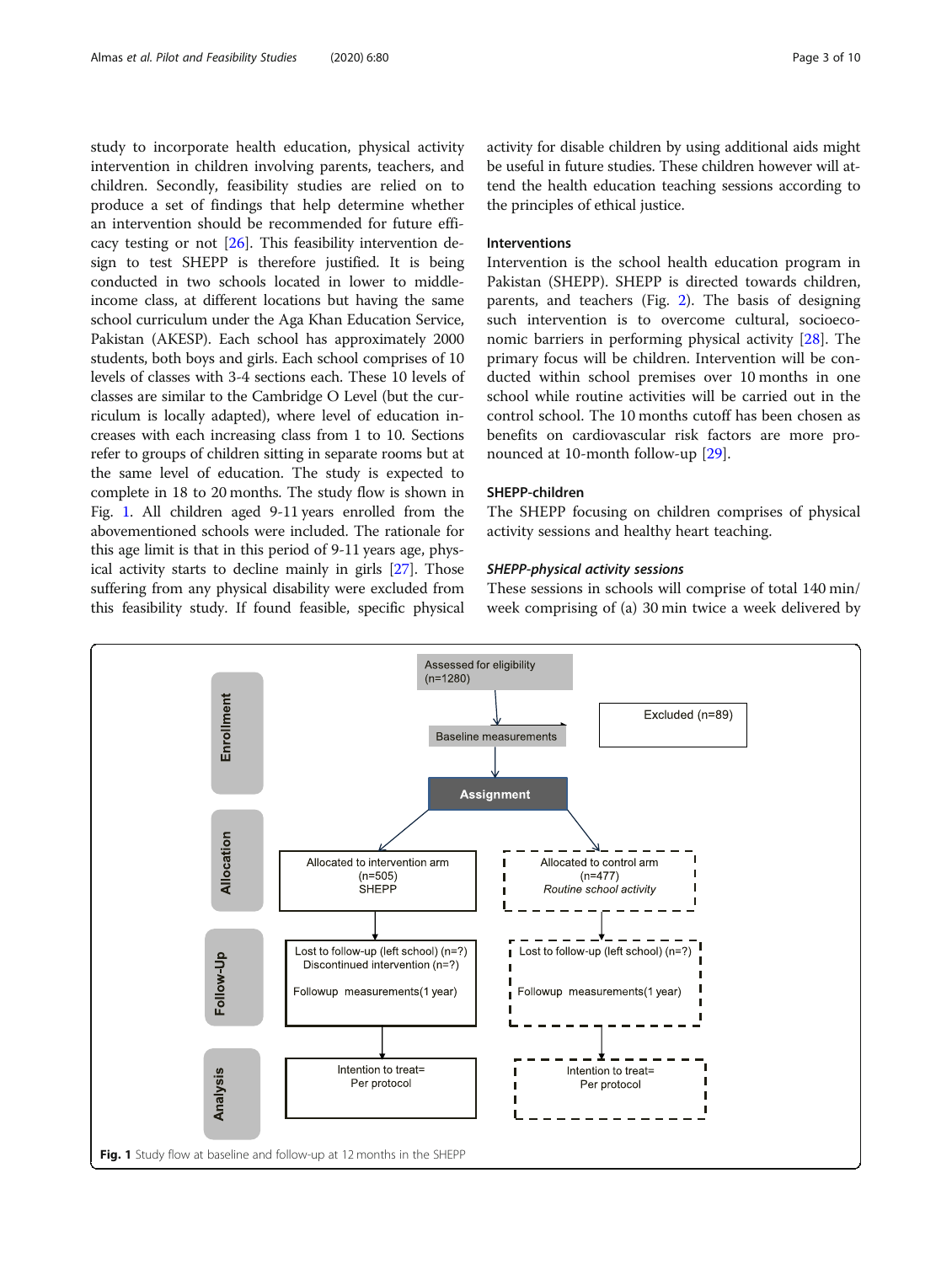study to incorporate health education, physical activity intervention in children involving parents, teachers, and children. Secondly, feasibility studies are relied on to produce a set of findings that help determine whether an intervention should be recommended for future efficacy testing or not [\[26](#page-9-0)]. This feasibility intervention design to test SHEPP is therefore justified. It is being conducted in two schools located in lower to middleincome class, at different locations but having the same school curriculum under the Aga Khan Education Service, Pakistan (AKESP). Each school has approximately 2000 students, both boys and girls. Each school comprises of 10 levels of classes with 3-4 sections each. These 10 levels of classes are similar to the Cambridge O Level (but the curriculum is locally adapted), where level of education increases with each increasing class from 1 to 10. Sections refer to groups of children sitting in separate rooms but at the same level of education. The study is expected to complete in 18 to 20 months. The study flow is shown in Fig. 1. All children aged 9-11 years enrolled from the abovementioned schools were included. The rationale for this age limit is that in this period of 9-11 years age, physical activity starts to decline mainly in girls [[27](#page-9-0)]. Those suffering from any physical disability were excluded from this feasibility study. If found feasible, specific physical activity for disable children by using additional aids might be useful in future studies. These children however will attend the health education teaching sessions according to the principles of ethical justice.

#### Interventions

Intervention is the school health education program in Pakistan (SHEPP). SHEPP is directed towards children, parents, and teachers (Fig. [2](#page-4-0)). The basis of designing such intervention is to overcome cultural, socioeconomic barriers in performing physical activity [\[28](#page-9-0)]. The primary focus will be children. Intervention will be conducted within school premises over 10 months in one school while routine activities will be carried out in the control school. The 10 months cutoff has been chosen as benefits on cardiovascular risk factors are more pronounced at 10-month follow-up [\[29](#page-9-0)].

#### SHEPP-children

The SHEPP focusing on children comprises of physical activity sessions and healthy heart teaching.

These sessions in schools will comprise of total 140 min/ week comprising of (a) 30 min twice a week delivered by

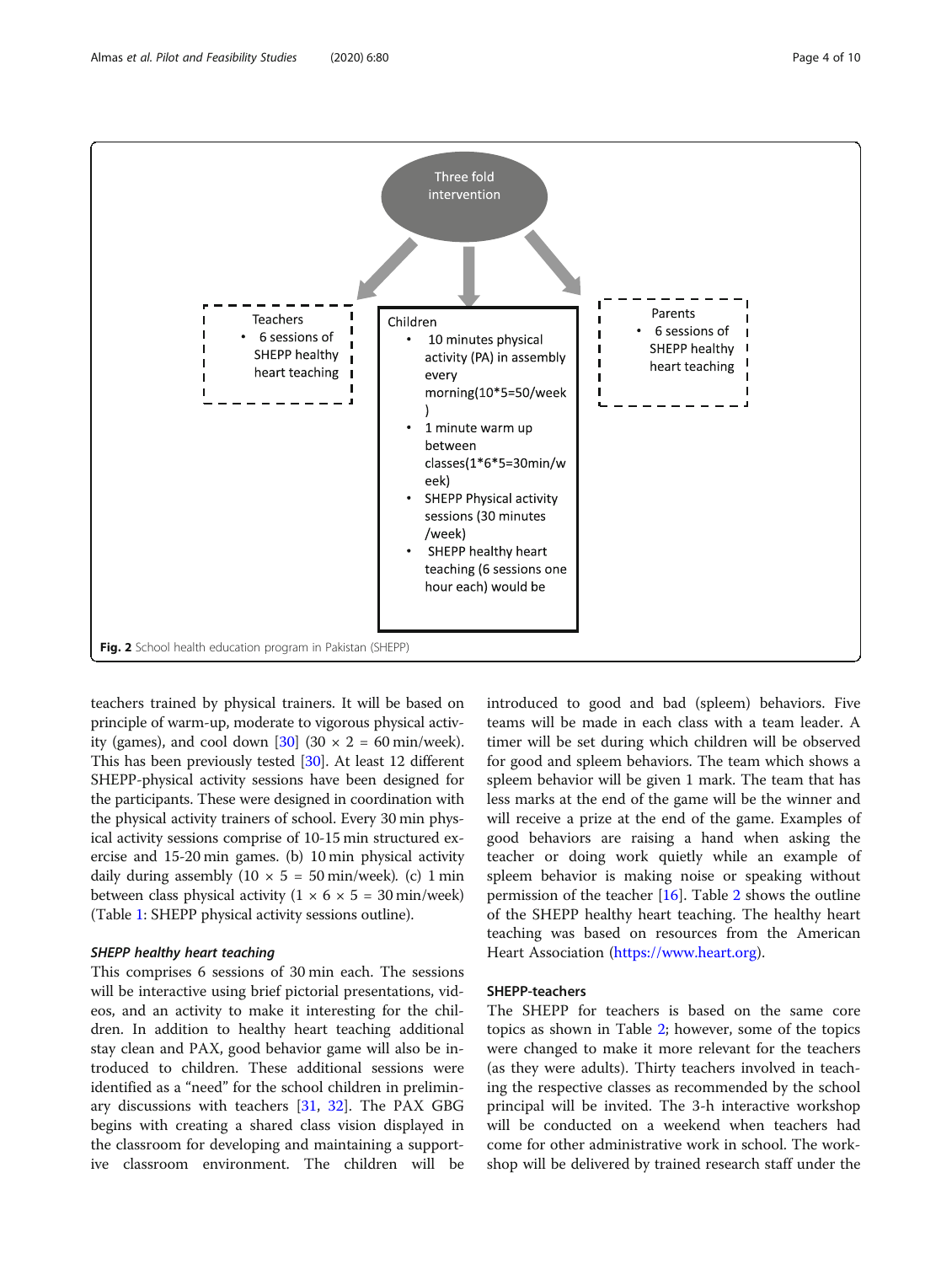<span id="page-4-0"></span>Almas et al. Pilot and Feasibility Studies (2020) 6:80 Page 4 of 10



teachers trained by physical trainers. It will be based on principle of warm-up, moderate to vigorous physical activ-ity (games), and cool down [[30](#page-9-0)] (30  $\times$  2 = 60 min/week). This has been previously tested [\[30\]](#page-9-0). At least 12 different SHEPP-physical activity sessions have been designed for the participants. These were designed in coordination with the physical activity trainers of school. Every 30 min physical activity sessions comprise of 10-15 min structured exercise and 15-20 min games. (b) 10 min physical activity daily during assembly  $(10 \times 5 = 50 \text{ min/week})$ . (c) 1 min between class physical activity  $(1 \times 6 \times 5 = 30 \text{ min/week})$ (Table [1:](#page-5-0) SHEPP physical activity sessions outline).

This comprises 6 sessions of 30 min each. The sessions will be interactive using brief pictorial presentations, videos, and an activity to make it interesting for the children. In addition to healthy heart teaching additional stay clean and PAX, good behavior game will also be introduced to children. These additional sessions were identified as a "need" for the school children in preliminary discussions with teachers [[31](#page-9-0), [32](#page-9-0)]. The PAX GBG begins with creating a shared class vision displayed in the classroom for developing and maintaining a supportive classroom environment. The children will be introduced to good and bad (spleem) behaviors. Five teams will be made in each class with a team leader. A timer will be set during which children will be observed for good and spleem behaviors. The team which shows a spleem behavior will be given 1 mark. The team that has less marks at the end of the game will be the winner and will receive a prize at the end of the game. Examples of good behaviors are raising a hand when asking the teacher or doing work quietly while an example of spleem behavior is making noise or speaking without permission of the teacher [[16\]](#page-9-0). Table [2](#page-5-0) shows the outline of the SHEPP healthy heart teaching. The healthy heart teaching was based on resources from the American Heart Association [\(https://www.heart.org](https://www.heart.org)).

#### SHEPP-teachers

The SHEPP for teachers is based on the same core topics as shown in Table [2](#page-5-0); however, some of the topics were changed to make it more relevant for the teachers (as they were adults). Thirty teachers involved in teaching the respective classes as recommended by the school principal will be invited. The 3-h interactive workshop will be conducted on a weekend when teachers had come for other administrative work in school. The workshop will be delivered by trained research staff under the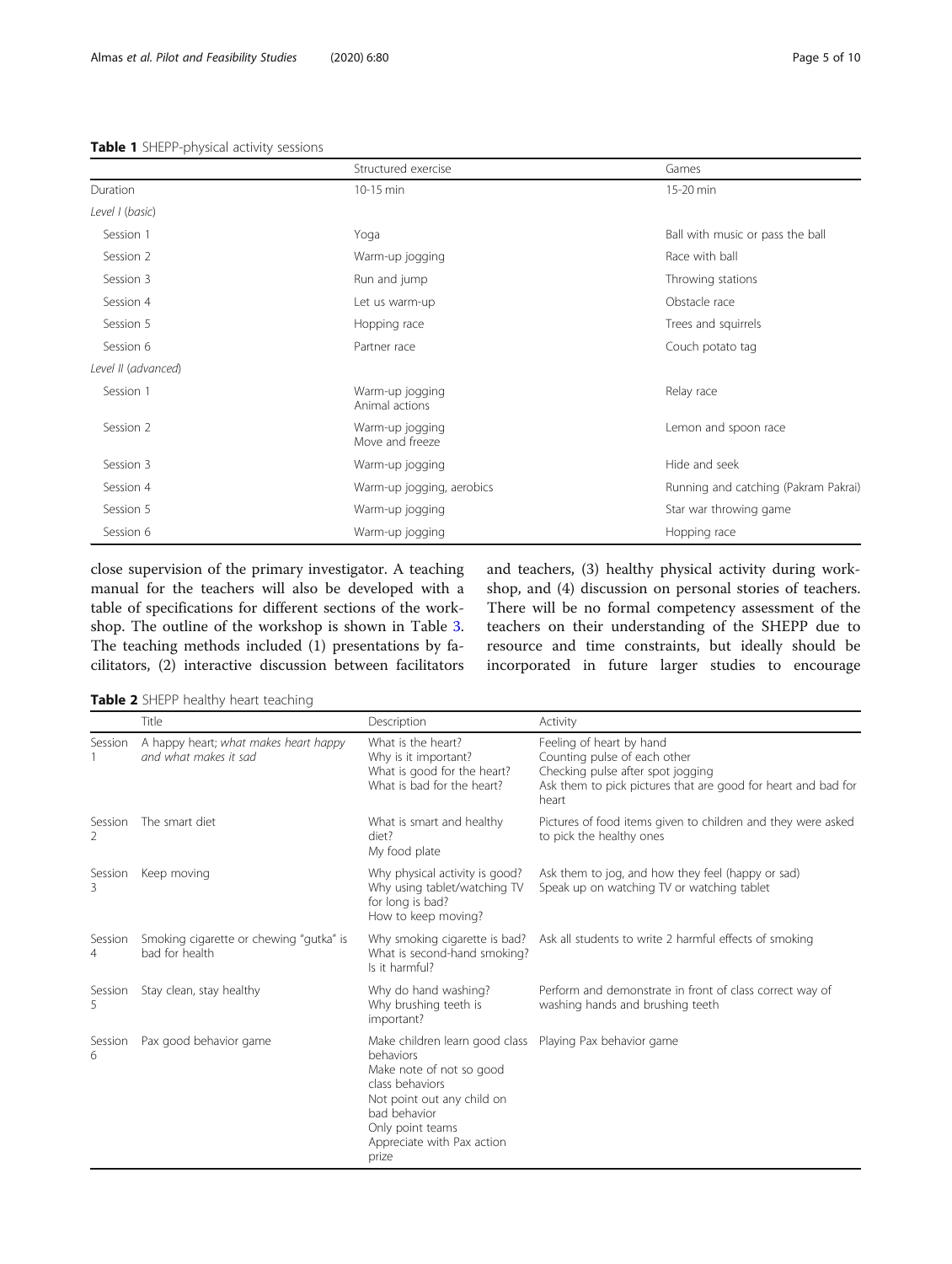#### <span id="page-5-0"></span>Table 1 SHEPP-physical activity sessions

|                     | Structured exercise                | Games                                |
|---------------------|------------------------------------|--------------------------------------|
| Duration            | 10-15 min                          | 15-20 min                            |
| Level I (basic)     |                                    |                                      |
| Session 1           | Yoga                               | Ball with music or pass the ball     |
| Session 2           | Warm-up jogging                    | Race with ball                       |
| Session 3           | Run and jump                       | Throwing stations                    |
| Session 4           | Let us warm-up                     | Obstacle race                        |
| Session 5           | Hopping race                       | Trees and squirrels                  |
| Session 6           | Partner race                       | Couch potato tag                     |
| Level II (advanced) |                                    |                                      |
| Session 1           | Warm-up jogging<br>Animal actions  | Relay race                           |
| Session 2           | Warm-up jogging<br>Move and freeze | Lemon and spoon race                 |
| Session 3           | Warm-up jogging                    | Hide and seek                        |
| Session 4           | Warm-up jogging, aerobics          | Running and catching (Pakram Pakrai) |
| Session 5           | Warm-up jogging                    | Star war throwing game               |
| Session 6           | Warm-up jogging                    | Hopping race                         |

close supervision of the primary investigator. A teaching manual for the teachers will also be developed with a table of specifications for different sections of the workshop. The outline of the workshop is shown in Table [3](#page-6-0). The teaching methods included (1) presentations by facilitators, (2) interactive discussion between facilitators and teachers, (3) healthy physical activity during workshop, and (4) discussion on personal stories of teachers. There will be no formal competency assessment of the teachers on their understanding of the SHEPP due to resource and time constraints, but ideally should be incorporated in future larger studies to encourage

Table 2 SHEPP healthy heart teaching

|              | Title                                                          | Description                                                                                                                                                                                         | Activity                                                                                                                                                                |
|--------------|----------------------------------------------------------------|-----------------------------------------------------------------------------------------------------------------------------------------------------------------------------------------------------|-------------------------------------------------------------------------------------------------------------------------------------------------------------------------|
| Session      | A happy heart; what makes heart happy<br>and what makes it sad | What is the heart?<br>Why is it important?<br>What is good for the heart?<br>What is bad for the heart?                                                                                             | Feeling of heart by hand<br>Counting pulse of each other<br>Checking pulse after spot jogging<br>Ask them to pick pictures that are good for heart and bad for<br>heart |
| Session<br>2 | The smart diet                                                 | What is smart and healthy<br>diet?<br>My food plate                                                                                                                                                 | Pictures of food items given to children and they were asked<br>to pick the healthy ones                                                                                |
| Session<br>Β | Keep moving                                                    | Why physical activity is good?<br>Why using tablet/watching TV<br>for long is bad?<br>How to keep moving?                                                                                           | Ask them to jog, and how they feel (happy or sad)<br>Speak up on watching TV or watching tablet                                                                         |
| Session<br>4 | Smoking cigarette or chewing "gutka" is<br>bad for health      | Why smoking cigarette is bad?<br>What is second-hand smoking?<br>Is it harmful?                                                                                                                     | Ask all students to write 2 harmful effects of smoking                                                                                                                  |
| Session<br>5 | Stay clean, stay healthy                                       | Why do hand washing?<br>Why brushing teeth is<br>important?                                                                                                                                         | Perform and demonstrate in front of class correct way of<br>washing hands and brushing teeth                                                                            |
| Session<br>6 | Pax good behavior game                                         | Make children learn good class<br>behaviors<br>Make note of not so good<br>class behaviors<br>Not point out any child on<br>bad behavior<br>Only point teams<br>Appreciate with Pax action<br>prize | Playing Pax behavior game                                                                                                                                               |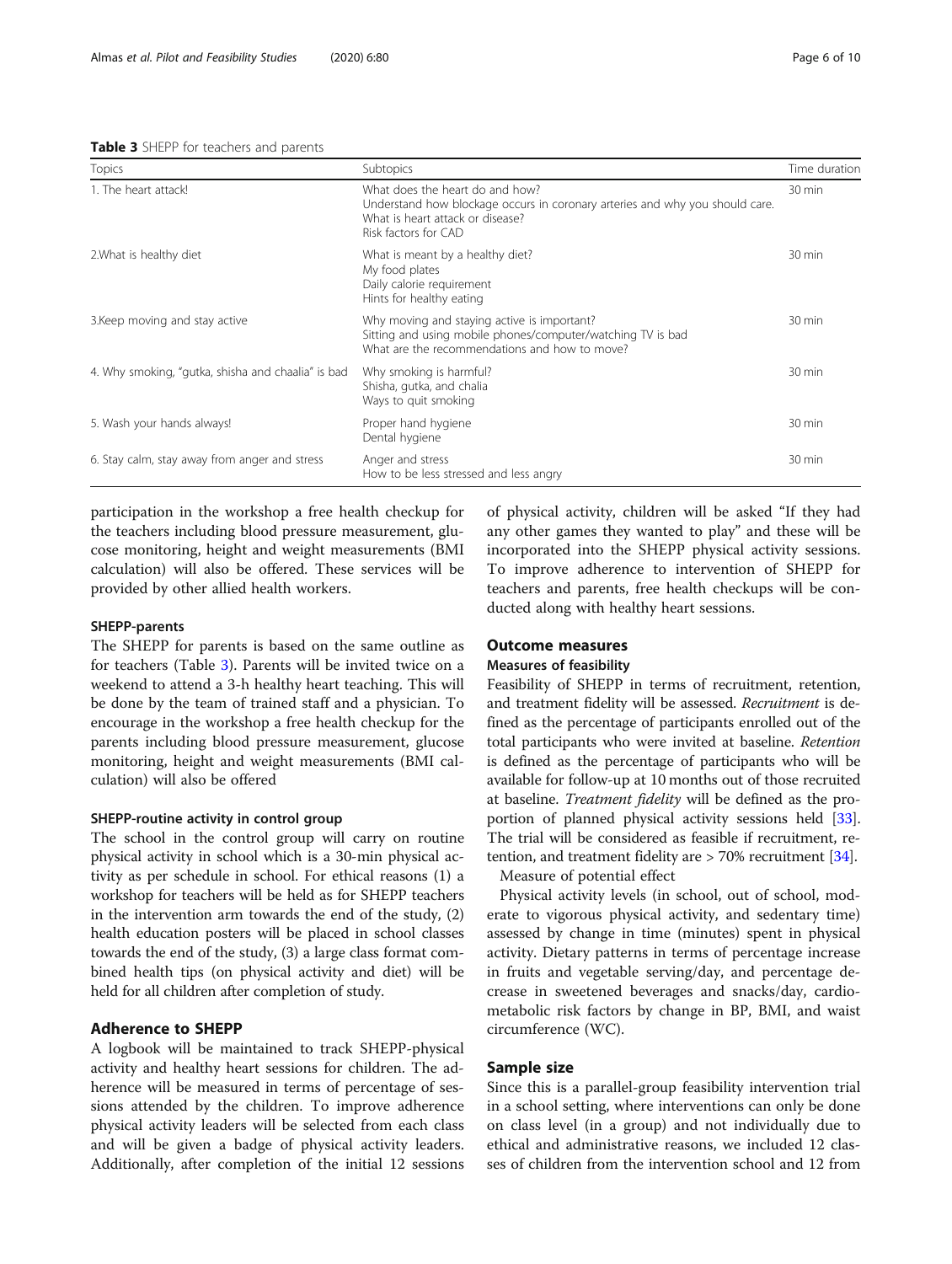<span id="page-6-0"></span>

| Table 3 SHEPP for teachers and parents |  |  |  |  |
|----------------------------------------|--|--|--|--|
|----------------------------------------|--|--|--|--|

| <b>Topics</b>                                      | Subtopics                                                                                                                                                                   | Time duration |
|----------------------------------------------------|-----------------------------------------------------------------------------------------------------------------------------------------------------------------------------|---------------|
| 1. The heart attack!                               | What does the heart do and how?<br>Understand how blockage occurs in coronary arteries and why you should care.<br>What is heart attack or disease?<br>Risk factors for CAD | 30 min        |
| 2. What is healthy diet                            | What is meant by a healthy diet?<br>My food plates<br>Daily calorie requirement<br>Hints for healthy eating                                                                 | 30 min        |
| 3. Keep moving and stay active                     | Why moving and staying active is important?<br>Sitting and using mobile phones/computer/watching TV is bad<br>What are the recommendations and how to move?                 | 30 min        |
| 4. Why smoking, "gutka, shisha and chaalia" is bad | Why smoking is harmful?<br>Shisha, gutka, and chalia<br>Ways to quit smoking                                                                                                | 30 min        |
| 5. Wash your hands always!                         | Proper hand hygiene<br>Dental hygiene                                                                                                                                       | 30 min        |
| 6. Stay calm, stay away from anger and stress      | Anger and stress<br>How to be less stressed and less angry                                                                                                                  | 30 min        |

participation in the workshop a free health checkup for the teachers including blood pressure measurement, glucose monitoring, height and weight measurements (BMI calculation) will also be offered. These services will be provided by other allied health workers.

#### SHEPP-parents

The SHEPP for parents is based on the same outline as for teachers (Table 3). Parents will be invited twice on a weekend to attend a 3-h healthy heart teaching. This will be done by the team of trained staff and a physician. To encourage in the workshop a free health checkup for the parents including blood pressure measurement, glucose monitoring, height and weight measurements (BMI calculation) will also be offered

#### SHEPP-routine activity in control group

The school in the control group will carry on routine physical activity in school which is a 30-min physical activity as per schedule in school. For ethical reasons (1) a workshop for teachers will be held as for SHEPP teachers in the intervention arm towards the end of the study, (2) health education posters will be placed in school classes towards the end of the study, (3) a large class format combined health tips (on physical activity and diet) will be held for all children after completion of study.

### Adherence to SHEPP

A logbook will be maintained to track SHEPP-physical activity and healthy heart sessions for children. The adherence will be measured in terms of percentage of sessions attended by the children. To improve adherence physical activity leaders will be selected from each class and will be given a badge of physical activity leaders. Additionally, after completion of the initial 12 sessions

of physical activity, children will be asked "If they had any other games they wanted to play" and these will be incorporated into the SHEPP physical activity sessions. To improve adherence to intervention of SHEPP for teachers and parents, free health checkups will be conducted along with healthy heart sessions.

#### Outcome measures

#### Measures of feasibility

Feasibility of SHEPP in terms of recruitment, retention, and treatment fidelity will be assessed. Recruitment is defined as the percentage of participants enrolled out of the total participants who were invited at baseline. Retention is defined as the percentage of participants who will be available for follow-up at 10 months out of those recruited at baseline. Treatment fidelity will be defined as the proportion of planned physical activity sessions held [[33](#page-9-0)]. The trial will be considered as feasible if recruitment, retention, and treatment fidelity are > 70% recruitment [[34](#page-9-0)].

Measure of potential effect

Physical activity levels (in school, out of school, moderate to vigorous physical activity, and sedentary time) assessed by change in time (minutes) spent in physical activity. Dietary patterns in terms of percentage increase in fruits and vegetable serving/day, and percentage decrease in sweetened beverages and snacks/day, cardiometabolic risk factors by change in BP, BMI, and waist circumference (WC).

#### Sample size

Since this is a parallel-group feasibility intervention trial in a school setting, where interventions can only be done on class level (in a group) and not individually due to ethical and administrative reasons, we included 12 classes of children from the intervention school and 12 from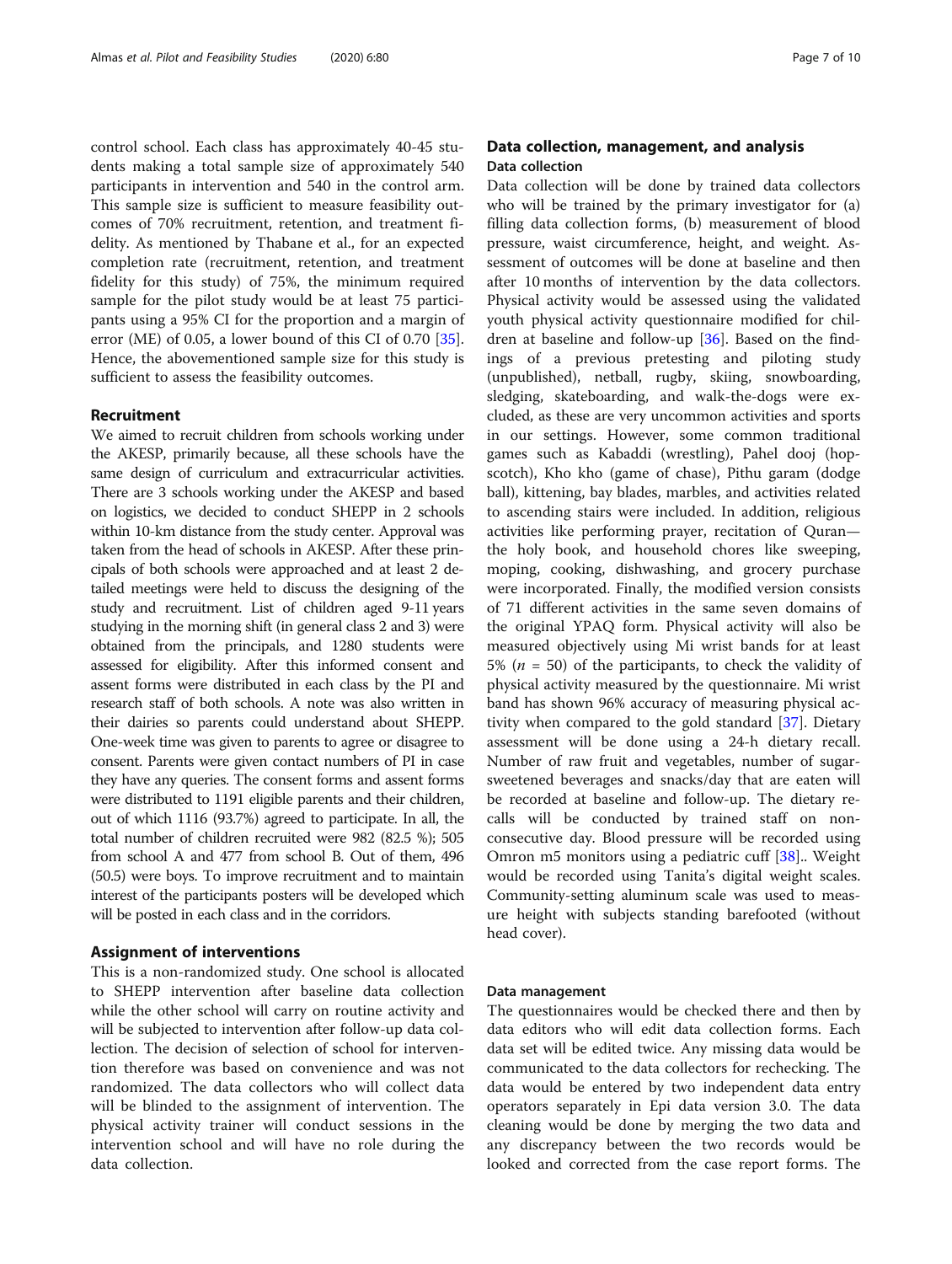control school. Each class has approximately 40-45 students making a total sample size of approximately 540 participants in intervention and 540 in the control arm. This sample size is sufficient to measure feasibility outcomes of 70% recruitment, retention, and treatment fidelity. As mentioned by Thabane et al., for an expected completion rate (recruitment, retention, and treatment fidelity for this study) of 75%, the minimum required sample for the pilot study would be at least 75 participants using a 95% CI for the proportion and a margin of error (ME) of 0.05, a lower bound of this CI of 0.70 [\[35](#page-9-0)]. Hence, the abovementioned sample size for this study is sufficient to assess the feasibility outcomes.

#### Recruitment

We aimed to recruit children from schools working under the AKESP, primarily because, all these schools have the same design of curriculum and extracurricular activities. There are 3 schools working under the AKESP and based on logistics, we decided to conduct SHEPP in 2 schools within 10-km distance from the study center. Approval was taken from the head of schools in AKESP. After these principals of both schools were approached and at least 2 detailed meetings were held to discuss the designing of the study and recruitment. List of children aged 9-11 years studying in the morning shift (in general class 2 and 3) were obtained from the principals, and 1280 students were assessed for eligibility. After this informed consent and assent forms were distributed in each class by the PI and research staff of both schools. A note was also written in their dairies so parents could understand about SHEPP. One-week time was given to parents to agree or disagree to consent. Parents were given contact numbers of PI in case they have any queries. The consent forms and assent forms were distributed to 1191 eligible parents and their children, out of which 1116 (93.7%) agreed to participate. In all, the total number of children recruited were 982 (82.5 %); 505 from school A and 477 from school B. Out of them, 496 (50.5) were boys. To improve recruitment and to maintain interest of the participants posters will be developed which will be posted in each class and in the corridors.

#### Assignment of interventions

This is a non-randomized study. One school is allocated to SHEPP intervention after baseline data collection while the other school will carry on routine activity and will be subjected to intervention after follow-up data collection. The decision of selection of school for intervention therefore was based on convenience and was not randomized. The data collectors who will collect data will be blinded to the assignment of intervention. The physical activity trainer will conduct sessions in the intervention school and will have no role during the data collection.

### Data collection, management, and analysis Data collection

Data collection will be done by trained data collectors who will be trained by the primary investigator for (a) filling data collection forms, (b) measurement of blood pressure, waist circumference, height, and weight. Assessment of outcomes will be done at baseline and then after 10 months of intervention by the data collectors. Physical activity would be assessed using the validated youth physical activity questionnaire modified for children at baseline and follow-up [[36\]](#page-9-0). Based on the findings of a previous pretesting and piloting study (unpublished), netball, rugby, skiing, snowboarding, sledging, skateboarding, and walk-the-dogs were excluded, as these are very uncommon activities and sports in our settings. However, some common traditional games such as Kabaddi (wrestling), Pahel dooj (hopscotch), Kho kho (game of chase), Pithu garam (dodge ball), kittening, bay blades, marbles, and activities related to ascending stairs were included. In addition, religious activities like performing prayer, recitation of Quran the holy book, and household chores like sweeping, moping, cooking, dishwashing, and grocery purchase were incorporated. Finally, the modified version consists of 71 different activities in the same seven domains of the original YPAQ form. Physical activity will also be measured objectively using Mi wrist bands for at least 5% ( $n = 50$ ) of the participants, to check the validity of physical activity measured by the questionnaire. Mi wrist band has shown 96% accuracy of measuring physical activity when compared to the gold standard [\[37\]](#page-9-0). Dietary assessment will be done using a 24-h dietary recall. Number of raw fruit and vegetables, number of sugarsweetened beverages and snacks/day that are eaten will be recorded at baseline and follow-up. The dietary recalls will be conducted by trained staff on nonconsecutive day. Blood pressure will be recorded using Omron m5 monitors using a pediatric cuff [[38\]](#page-9-0).. Weight would be recorded using Tanita's digital weight scales. Community-setting aluminum scale was used to measure height with subjects standing barefooted (without head cover).

#### Data management

The questionnaires would be checked there and then by data editors who will edit data collection forms. Each data set will be edited twice. Any missing data would be communicated to the data collectors for rechecking. The data would be entered by two independent data entry operators separately in Epi data version 3.0. The data cleaning would be done by merging the two data and any discrepancy between the two records would be looked and corrected from the case report forms. The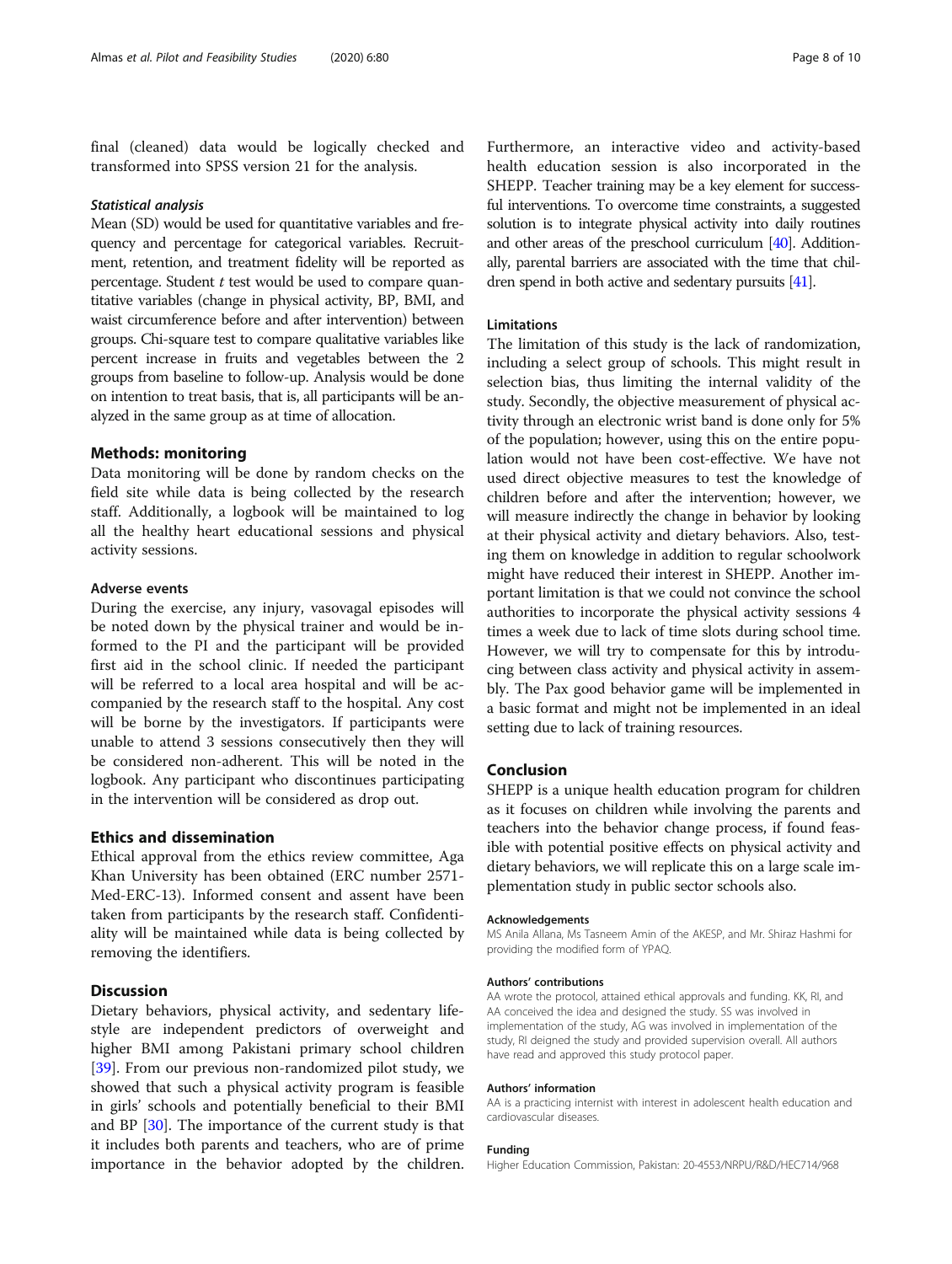final (cleaned) data would be logically checked and transformed into SPSS version 21 for the analysis.

Mean (SD) would be used for quantitative variables and frequency and percentage for categorical variables. Recruitment, retention, and treatment fidelity will be reported as percentage. Student t test would be used to compare quantitative variables (change in physical activity, BP, BMI, and waist circumference before and after intervention) between groups. Chi-square test to compare qualitative variables like percent increase in fruits and vegetables between the 2 groups from baseline to follow-up. Analysis would be done on intention to treat basis, that is, all participants will be analyzed in the same group as at time of allocation.

#### Methods: monitoring

Data monitoring will be done by random checks on the field site while data is being collected by the research staff. Additionally, a logbook will be maintained to log all the healthy heart educational sessions and physical activity sessions.

#### Adverse events

During the exercise, any injury, vasovagal episodes will be noted down by the physical trainer and would be informed to the PI and the participant will be provided first aid in the school clinic. If needed the participant will be referred to a local area hospital and will be accompanied by the research staff to the hospital. Any cost will be borne by the investigators. If participants were unable to attend 3 sessions consecutively then they will be considered non-adherent. This will be noted in the logbook. Any participant who discontinues participating in the intervention will be considered as drop out.

#### Ethics and dissemination

Ethical approval from the ethics review committee, Aga Khan University has been obtained (ERC number 2571- Med-ERC-13). Informed consent and assent have been taken from participants by the research staff. Confidentiality will be maintained while data is being collected by removing the identifiers.

#### **Discussion**

Dietary behaviors, physical activity, and sedentary lifestyle are independent predictors of overweight and higher BMI among Pakistani primary school children [[39\]](#page-9-0). From our previous non-randomized pilot study, we showed that such a physical activity program is feasible in girls' schools and potentially beneficial to their BMI and BP [\[30](#page-9-0)]. The importance of the current study is that it includes both parents and teachers, who are of prime importance in the behavior adopted by the children.

Furthermore, an interactive video and activity-based health education session is also incorporated in the SHEPP. Teacher training may be a key element for successful interventions. To overcome time constraints, a suggested solution is to integrate physical activity into daily routines and other areas of the preschool curriculum [[40](#page-10-0)]. Additionally, parental barriers are associated with the time that children spend in both active and sedentary pursuits [\[41\]](#page-10-0).

#### Limitations

The limitation of this study is the lack of randomization, including a select group of schools. This might result in selection bias, thus limiting the internal validity of the study. Secondly, the objective measurement of physical activity through an electronic wrist band is done only for 5% of the population; however, using this on the entire population would not have been cost-effective. We have not used direct objective measures to test the knowledge of children before and after the intervention; however, we will measure indirectly the change in behavior by looking at their physical activity and dietary behaviors. Also, testing them on knowledge in addition to regular schoolwork might have reduced their interest in SHEPP. Another important limitation is that we could not convince the school authorities to incorporate the physical activity sessions 4 times a week due to lack of time slots during school time. However, we will try to compensate for this by introducing between class activity and physical activity in assembly. The Pax good behavior game will be implemented in a basic format and might not be implemented in an ideal setting due to lack of training resources.

#### Conclusion

SHEPP is a unique health education program for children as it focuses on children while involving the parents and teachers into the behavior change process, if found feasible with potential positive effects on physical activity and dietary behaviors, we will replicate this on a large scale implementation study in public sector schools also.

#### Acknowledgements

MS Anila Allana, Ms Tasneem Amin of the AKESP, and Mr. Shiraz Hashmi for providing the modified form of YPAQ.

#### Authors' contributions

AA wrote the protocol, attained ethical approvals and funding. KK, RI, and AA conceived the idea and designed the study. SS was involved in implementation of the study, AG was involved in implementation of the study, RI deigned the study and provided supervision overall. All authors have read and approved this study protocol paper.

#### Authors' information

AA is a practicing internist with interest in adolescent health education and cardiovascular diseases.

#### Funding

Higher Education Commission, Pakistan: 20-4553/NRPU/R&D/HEC714/968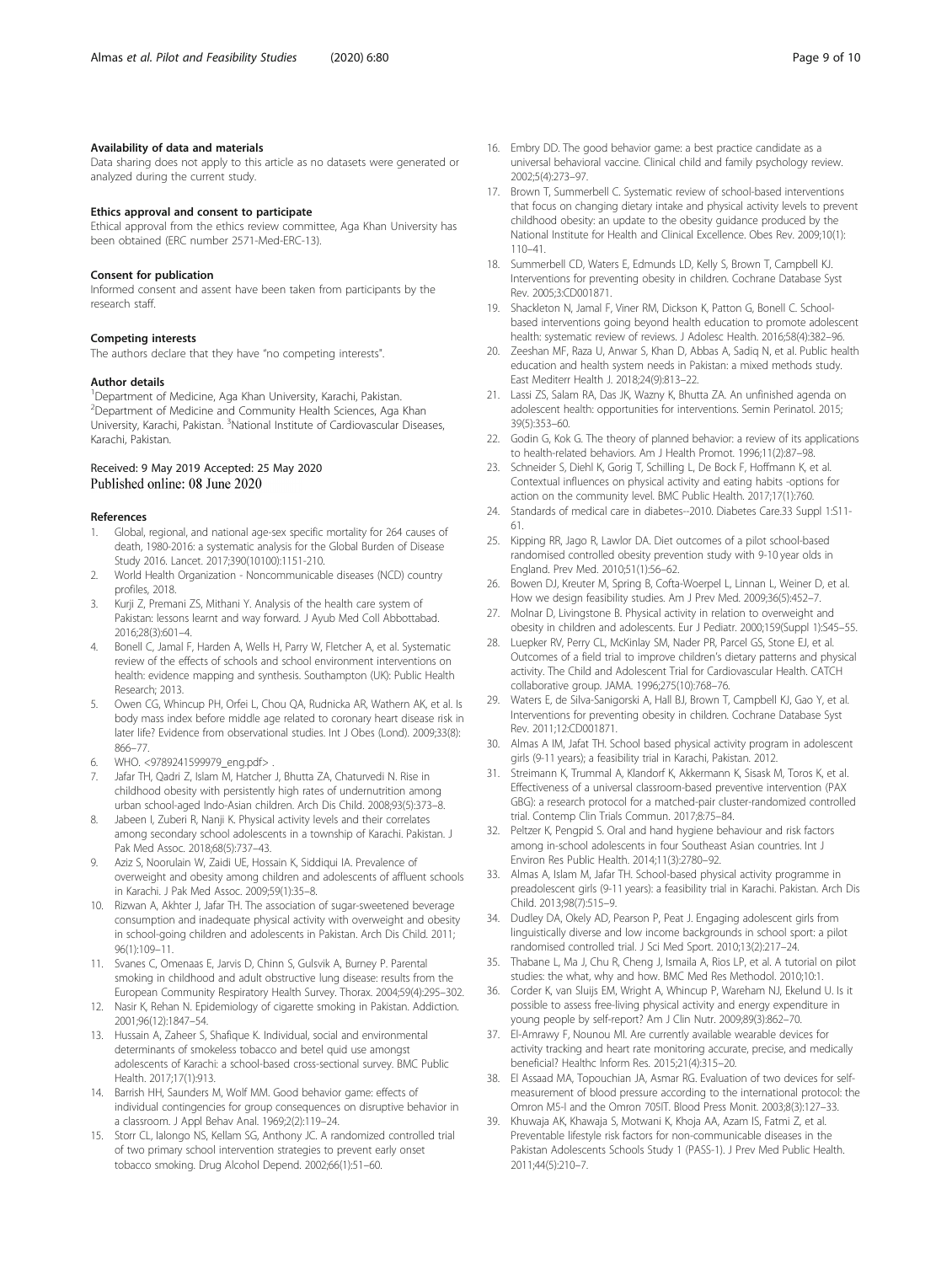#### <span id="page-9-0"></span>Availability of data and materials

Data sharing does not apply to this article as no datasets were generated or analyzed during the current study.

#### Ethics approval and consent to participate

Ethical approval from the ethics review committee, Aga Khan University has been obtained (ERC number 2571-Med-ERC-13).

#### Consent for publication

Informed consent and assent have been taken from participants by the research staff.

#### Competing interests

The authors declare that they have "no competing interests".

#### Author details

<sup>1</sup> Department of Medicine, Aga Khan University, Karachi, Pakistan. 2 Department of Medicine and Community Health Sciences, Aga Khan University, Karachi, Pakistan. <sup>3</sup>National Institute of Cardiovascular Diseases, Karachi, Pakistan.

#### Received: 9 May 2019 Accepted: 25 May 2020 Published online: 08 June 2020

#### References

- 1. Global, regional, and national age-sex specific mortality for 264 causes of death, 1980-2016: a systematic analysis for the Global Burden of Disease Study 2016. Lancet. 2017;390(10100):1151-210.
- 2. World Health Organization Noncommunicable diseases (NCD) country profiles, 2018.
- 3. Kurji Z, Premani ZS, Mithani Y. Analysis of the health care system of Pakistan: lessons learnt and way forward. J Ayub Med Coll Abbottabad. 2016;28(3):601–4.
- 4. Bonell C, Jamal F, Harden A, Wells H, Parry W, Fletcher A, et al. Systematic review of the effects of schools and school environment interventions on health: evidence mapping and synthesis. Southampton (UK): Public Health Research; 2013.
- 5. Owen CG, Whincup PH, Orfei L, Chou QA, Rudnicka AR, Wathern AK, et al. Is body mass index before middle age related to coronary heart disease risk in later life? Evidence from observational studies. Int J Obes (Lond). 2009;33(8): 866–77.
- 6. WHO. <9789241599979\_eng.pdf> .
- 7. Jafar TH, Qadri Z, Islam M, Hatcher J, Bhutta ZA, Chaturvedi N. Rise in childhood obesity with persistently high rates of undernutrition among urban school-aged Indo-Asian children. Arch Dis Child. 2008;93(5):373–8.
- Jabeen I, Zuberi R, Nanji K. Physical activity levels and their correlates among secondary school adolescents in a township of Karachi. Pakistan. J Pak Med Assoc. 2018;68(5):737–43.
- 9. Aziz S, Noorulain W, Zaidi UE, Hossain K, Siddiqui IA. Prevalence of overweight and obesity among children and adolescents of affluent schools in Karachi. J Pak Med Assoc. 2009;59(1):35–8.
- 10. Rizwan A, Akhter J, Jafar TH. The association of sugar-sweetened beverage consumption and inadequate physical activity with overweight and obesity in school-going children and adolescents in Pakistan. Arch Dis Child. 2011; 96(1):109–11.
- 11. Svanes C, Omenaas E, Jarvis D, Chinn S, Gulsvik A, Burney P. Parental smoking in childhood and adult obstructive lung disease: results from the European Community Respiratory Health Survey. Thorax. 2004;59(4):295–302.
- 12. Nasir K, Rehan N. Epidemiology of cigarette smoking in Pakistan. Addiction. 2001;96(12):1847–54.
- 13. Hussain A, Zaheer S, Shafique K. Individual, social and environmental determinants of smokeless tobacco and betel quid use amongst adolescents of Karachi: a school-based cross-sectional survey. BMC Public Health. 2017;17(1):913.
- 14. Barrish HH, Saunders M, Wolf MM. Good behavior game: effects of individual contingencies for group consequences on disruptive behavior in a classroom. J Appl Behav Anal. 1969;2(2):119–24.
- 15. Storr CL, Ialongo NS, Kellam SG, Anthony JC. A randomized controlled trial of two primary school intervention strategies to prevent early onset tobacco smoking. Drug Alcohol Depend. 2002;66(1):51–60.
- 16. Embry DD. The good behavior game: a best practice candidate as a universal behavioral vaccine. Clinical child and family psychology review. 2002;5(4):273–97.
- 17. Brown T, Summerbell C. Systematic review of school-based interventions that focus on changing dietary intake and physical activity levels to prevent childhood obesity: an update to the obesity guidance produced by the National Institute for Health and Clinical Excellence. Obes Rev. 2009;10(1): 110–41.
- 18. Summerbell CD, Waters E, Edmunds LD, Kelly S, Brown T, Campbell KJ. Interventions for preventing obesity in children. Cochrane Database Syst Rev. 2005;3:CD001871.
- 19. Shackleton N, Jamal F, Viner RM, Dickson K, Patton G, Bonell C. Schoolbased interventions going beyond health education to promote adolescent health: systematic review of reviews. J Adolesc Health. 2016;58(4):382–96.
- 20. Zeeshan MF, Raza U, Anwar S, Khan D, Abbas A, Sadiq N, et al. Public health education and health system needs in Pakistan: a mixed methods study. East Mediterr Health J. 2018;24(9):813–22.
- 21. Lassi ZS, Salam RA, Das JK, Wazny K, Bhutta ZA. An unfinished agenda on adolescent health: opportunities for interventions. Semin Perinatol. 2015; 39(5):353–60.
- 22. Godin G, Kok G. The theory of planned behavior: a review of its applications to health-related behaviors. Am J Health Promot. 1996;11(2):87–98.
- 23. Schneider S, Diehl K, Gorig T, Schilling L, De Bock F, Hoffmann K, et al. Contextual influences on physical activity and eating habits -options for action on the community level. BMC Public Health. 2017;17(1):760.
- 24. Standards of medical care in diabetes--2010. Diabetes Care.33 Suppl 1:S11- 61.
- 25. Kipping RR, Jago R, Lawlor DA. Diet outcomes of a pilot school-based randomised controlled obesity prevention study with 9-10 year olds in England. Prev Med. 2010;51(1):56–62.
- 26. Bowen DJ, Kreuter M, Spring B, Cofta-Woerpel L, Linnan L, Weiner D, et al. How we design feasibility studies. Am J Prev Med. 2009;36(5):452–7.
- 27. Molnar D, Livingstone B. Physical activity in relation to overweight and obesity in children and adolescents. Eur J Pediatr. 2000;159(Suppl 1):S45–55.
- 28. Luepker RV, Perry CL, McKinlay SM, Nader PR, Parcel GS, Stone EJ, et al. Outcomes of a field trial to improve children's dietary patterns and physical activity. The Child and Adolescent Trial for Cardiovascular Health. CATCH collaborative group. JAMA. 1996;275(10):768–76.
- 29. Waters E, de Silva-Sanigorski A, Hall BJ, Brown T, Campbell KJ, Gao Y, et al. Interventions for preventing obesity in children. Cochrane Database Syst Rev. 2011;12:CD001871.
- 30. Almas A IM, Jafat TH. School based physical activity program in adolescent girls (9-11 years); a feasibility trial in Karachi, Pakistan. 2012.
- 31. Streimann K, Trummal A, Klandorf K, Akkermann K, Sisask M, Toros K, et al. Effectiveness of a universal classroom-based preventive intervention (PAX GBG): a research protocol for a matched-pair cluster-randomized controlled trial. Contemp Clin Trials Commun. 2017;8:75–84.
- 32. Peltzer K, Pengpid S. Oral and hand hygiene behaviour and risk factors among in-school adolescents in four Southeast Asian countries. Int J Environ Res Public Health. 2014;11(3):2780–92.
- 33. Almas A, Islam M, Jafar TH. School-based physical activity programme in preadolescent girls (9-11 years): a feasibility trial in Karachi. Pakistan. Arch Dis Child. 2013;98(7):515–9.
- 34. Dudley DA, Okely AD, Pearson P, Peat J. Engaging adolescent girls from linguistically diverse and low income backgrounds in school sport: a pilot randomised controlled trial. J Sci Med Sport. 2010;13(2):217–24.
- 35. Thabane L, Ma J, Chu R, Cheng J, Ismaila A, Rios LP, et al. A tutorial on pilot studies: the what, why and how. BMC Med Res Methodol. 2010;10:1
- 36. Corder K, van Sluijs EM, Wright A, Whincup P, Wareham NJ, Ekelund U. Is it possible to assess free-living physical activity and energy expenditure in young people by self-report? Am J Clin Nutr. 2009;89(3):862–70.
- 37. El-Amrawy F, Nounou MI. Are currently available wearable devices for activity tracking and heart rate monitoring accurate, precise, and medically beneficial? Healthc Inform Res. 2015;21(4):315–20.
- 38. El Assaad MA, Topouchian JA, Asmar RG. Evaluation of two devices for selfmeasurement of blood pressure according to the international protocol: the Omron M5-I and the Omron 705IT. Blood Press Monit. 2003;8(3):127–33.
- 39. Khuwaja AK, Khawaja S, Motwani K, Khoja AA, Azam IS, Fatmi Z, et al. Preventable lifestyle risk factors for non-communicable diseases in the Pakistan Adolescents Schools Study 1 (PASS-1). J Prev Med Public Health. 2011;44(5):210–7.